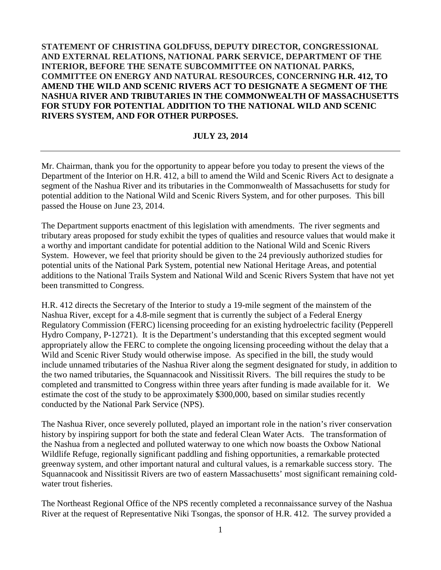## **STATEMENT OF CHRISTINA GOLDFUSS, DEPUTY DIRECTOR, CONGRESSIONAL AND EXTERNAL RELATIONS, NATIONAL PARK SERVICE, DEPARTMENT OF THE INTERIOR, BEFORE THE SENATE SUBCOMMITTEE ON NATIONAL PARKS, COMMITTEE ON ENERGY AND NATURAL RESOURCES, CONCERNING H.R. 412, TO AMEND THE WILD AND SCENIC RIVERS ACT TO DESIGNATE A SEGMENT OF THE NASHUA RIVER AND TRIBUTARIES IN THE COMMONWEALTH OF MASSACHUSETTS FOR STUDY FOR POTENTIAL ADDITION TO THE NATIONAL WILD AND SCENIC RIVERS SYSTEM, AND FOR OTHER PURPOSES.**

## **JULY 23, 2014**

Mr. Chairman, thank you for the opportunity to appear before you today to present the views of the Department of the Interior on H.R. 412, a bill to amend the Wild and Scenic Rivers Act to designate a segment of the Nashua River and its tributaries in the Commonwealth of Massachusetts for study for potential addition to the National Wild and Scenic Rivers System, and for other purposes. This bill passed the House on June 23, 2014.

The Department supports enactment of this legislation with amendments. The river segments and tributary areas proposed for study exhibit the types of qualities and resource values that would make it a worthy and important candidate for potential addition to the National Wild and Scenic Rivers System. However, we feel that priority should be given to the 24 previously authorized studies for potential units of the National Park System, potential new National Heritage Areas, and potential additions to the National Trails System and National Wild and Scenic Rivers System that have not yet been transmitted to Congress.

H.R. 412 directs the Secretary of the Interior to study a 19-mile segment of the mainstem of the Nashua River, except for a 4.8-mile segment that is currently the subject of a Federal Energy Regulatory Commission (FERC) licensing proceeding for an existing hydroelectric facility (Pepperell Hydro Company, P-12721). It is the Department's understanding that this excepted segment would appropriately allow the FERC to complete the ongoing licensing proceeding without the delay that a Wild and Scenic River Study would otherwise impose. As specified in the bill, the study would include unnamed tributaries of the Nashua River along the segment designated for study, in addition to the two named tributaries, the Squannacook and Nissitissit Rivers. The bill requires the study to be completed and transmitted to Congress within three years after funding is made available for it. We estimate the cost of the study to be approximately \$300,000, based on similar studies recently conducted by the National Park Service (NPS).

The Nashua River, once severely polluted, played an important role in the nation's river conservation history by inspiring support for both the state and federal Clean Water Acts. The transformation of the Nashua from a neglected and polluted waterway to one which now boasts the Oxbow National Wildlife Refuge, regionally significant paddling and fishing opportunities, a remarkable protected greenway system, and other important natural and cultural values, is a remarkable success story. The Squannacook and Nissitissit Rivers are two of eastern Massachusetts' most significant remaining coldwater trout fisheries.

The Northeast Regional Office of the NPS recently completed a reconnaissance survey of the Nashua River at the request of Representative Niki Tsongas, the sponsor of H.R. 412. The survey provided a